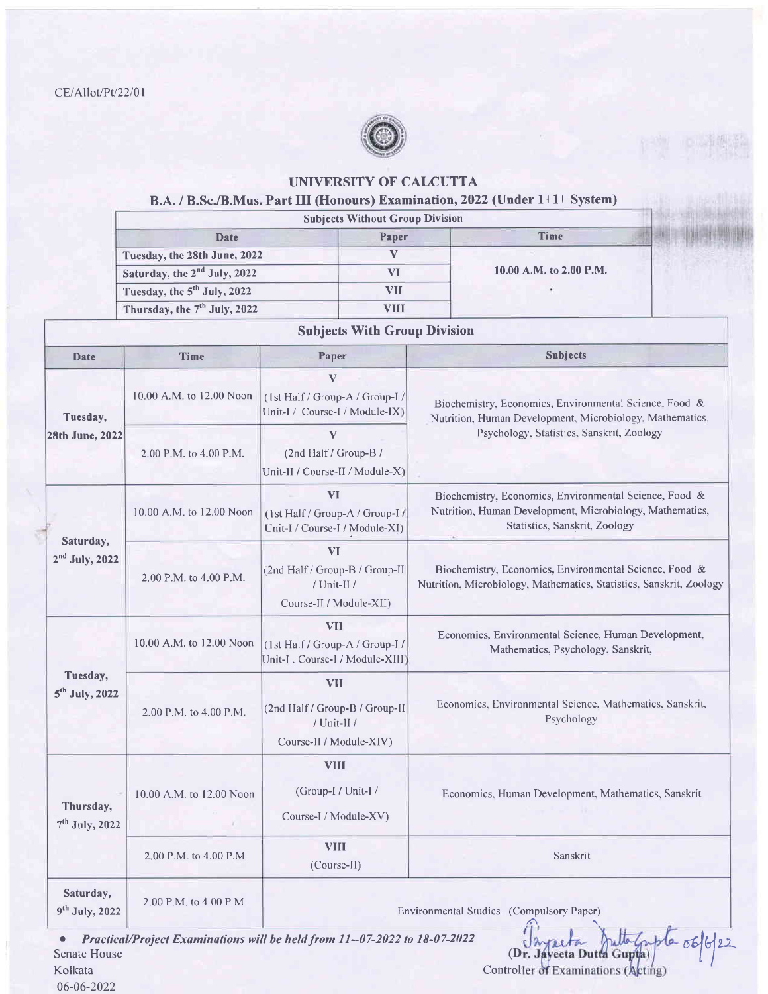

## UNIVERSITY OF CALCUTTA

## B.A. / B.Sc./B.Mus. Part III (Honours) Examination, 2022 (Under 1+1+ System)

|                                          | <b>Subjects Without Group Division</b> |                         |
|------------------------------------------|----------------------------------------|-------------------------|
| Date                                     | Paper                                  | <b>Time</b>             |
| Tuesday, the 28th June, 2022             |                                        |                         |
| Saturday, the 2 <sup>nd</sup> July, 2022 | VI                                     | 10.00 A.M. to 2.00 P.M. |
| Tuesday, the 5 <sup>th</sup> July, 2022  | VH                                     |                         |
| Thursday, the 7 <sup>th</sup> July, 2022 | VIII                                   |                         |

|                                                                                   | <b>Subjects With Group Division</b> |                                                                                                                                                                                                                 |                                                                                                                                                     |  |  |
|-----------------------------------------------------------------------------------|-------------------------------------|-----------------------------------------------------------------------------------------------------------------------------------------------------------------------------------------------------------------|-----------------------------------------------------------------------------------------------------------------------------------------------------|--|--|
| Date                                                                              | Time                                | Paper                                                                                                                                                                                                           | <b>Subjects</b>                                                                                                                                     |  |  |
| 10.00 A.M. to 12.00 Noon<br>Tuesday,<br>28th June, 2022<br>2.00 P.M. to 4.00 P.M. |                                     | V<br>(1st Half / Group-A / Group-I /<br>Unit-I / Course-I / Module-IX)                                                                                                                                          | Biochemistry, Economics, Environmental Science, Food &<br>Nutrition, Human Development, Microbiology, Mathematics,                                  |  |  |
|                                                                                   |                                     | $\bf{V}$<br>(2nd Half / Group-B /<br>Unit-II / Course-II / Module-X)                                                                                                                                            | Psychology, Statistics, Sanskrit, Zoology                                                                                                           |  |  |
|                                                                                   | 10.00 A.M. to 12.00 Noon            | VI<br>(1st Half / Group-A / Group-I /<br>Unit-I / Course-I / Module-XI)                                                                                                                                         | Biochemistry, Economics, Environmental Science, Food &<br>Nutrition, Human Development, Microbiology, Mathematics,<br>Statistics, Sanskrit, Zoology |  |  |
| Saturday,<br>$2nd$ July, 2022<br>2.00 P.M. to 4.00 P.M.                           |                                     | VI<br>Biochemistry, Economics, Environmental Science, Food &<br>(2nd Half / Group-B / Group-II<br>Nutrition, Microbiology, Mathematics, Statistics, Sanskrit, Zoology<br>/ Unit-II /<br>Course-II / Module-XII) |                                                                                                                                                     |  |  |
|                                                                                   | 10.00 A.M. to 12.00 Noon            | <b>VII</b><br>(1st Half / Group-A / Group-I /<br>Unit-I . Course-I / Module-XIII)                                                                                                                               | Economics, Environmental Science, Human Development,<br>Mathematics, Psychology, Sanskrit,                                                          |  |  |
| Tuesday,<br>5 <sup>th</sup> July, 2022<br>2.00 P.M. to 4.00 P.M.                  |                                     | <b>VII</b><br>(2nd Half / Group-B / Group-II<br>/ Unit-II /<br>Course-II / Module-XIV)                                                                                                                          | Economics, Environmental Science, Mathematics, Sanskrit,<br>Psychology                                                                              |  |  |
| Thursday,<br>7 <sup>th</sup> July, 2022                                           | 10.00 A.M. to 12.00 Noon            | <b>VIII</b><br>(Group-I / Unit-I /<br>Course-I / Module-XV)                                                                                                                                                     | Economics, Human Development, Mathematics, Sanskrit                                                                                                 |  |  |
|                                                                                   | 2.00 P.M. to 4.00 P.M               | VIII<br>(Course-II)                                                                                                                                                                                             | Sanskrit                                                                                                                                            |  |  |
| Saturday,<br>9 <sup>th</sup> July, 2022                                           | 2.00 P.M. to 4.00 P.M.              | Environmental Studies (Compulsory Paper)                                                                                                                                                                        |                                                                                                                                                     |  |  |

**•** Practical/Project Examinations will be held from 11--07-2022 to 18-07-2022 Senate House Kolkata

Jayacta Dutte Cupta) la 06/6/22

06-06-2022

Controller of Examinations (Acting)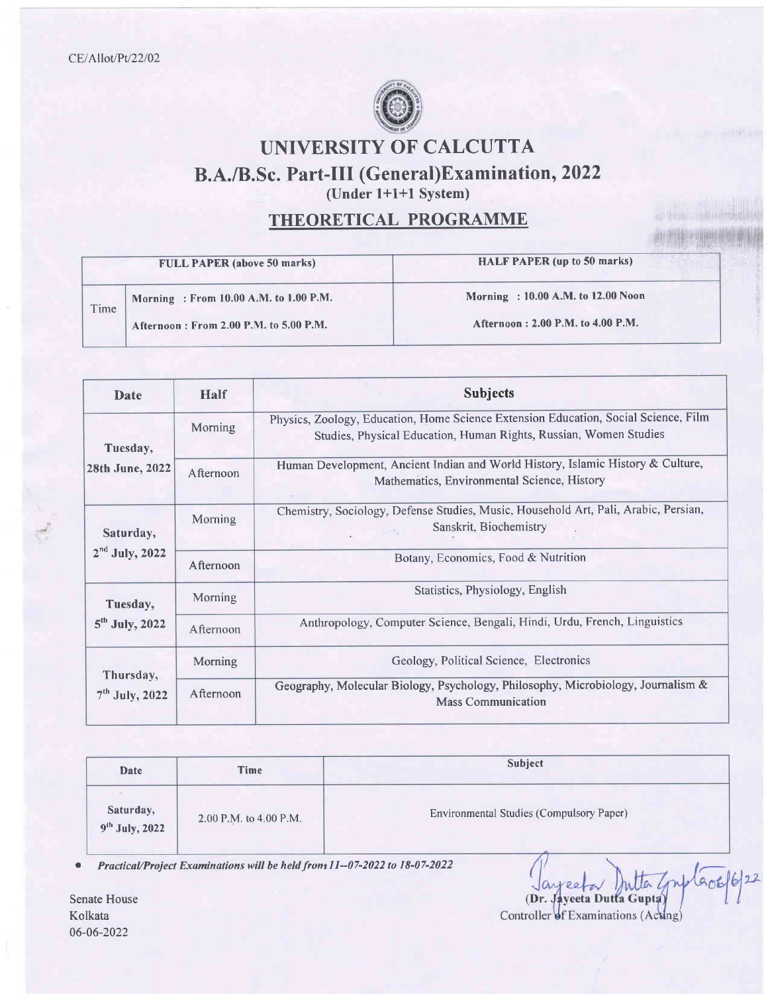

# UNIVERSITY OF CALCUTTA B.A./B.Sc. Part-III (General)Examination, 2022 (Under 1+1+l System)

# THEORETICAL PROGRAMME

| <b>FULL PAPER (above 50 marks)</b>     |                                       | <b>HALF PAPER (up to 50 marks)</b> |
|----------------------------------------|---------------------------------------|------------------------------------|
| Time                                   | Morning: From 10.00 A.M. to 1.00 P.M. | Morning: 10.00 A.M. to 12.00 Noon  |
| Afternoon: From 2.00 P.M. to 5.00 P.M. |                                       | Afternoon: 2.00 P.M. to 4.00 P.M.  |

| Date                                                   | Half      | <b>Subjects</b>                                                                                                                                          |  |
|--------------------------------------------------------|-----------|----------------------------------------------------------------------------------------------------------------------------------------------------------|--|
| Tuesday,                                               | Morning   | Physics, Zoology, Education, Home Science Extension Education, Social Science, Film<br>Studies, Physical Education, Human Rights, Russian, Women Studies |  |
| <b>28th June, 2022</b>                                 | Afternoon | Human Development, Ancient Indian and World History, Islamic History & Culture,<br>Mathematics, Environmental Science, History                           |  |
| Morning<br>Saturday,                                   |           | Chemistry, Sociology, Defense Studies, Music, Household Art, Pali, Arabic, Persian,<br>Sanskrit, Biochemistry                                            |  |
| $2nd$ July, 2022                                       | Afternoon | Botany, Economics, Food & Nutrition                                                                                                                      |  |
| Statistics, Physiology, English<br>Morning<br>Tuesday, |           |                                                                                                                                                          |  |
| $5th$ July, 2022                                       | Afternoon | Anthropology, Computer Science, Bengali, Hindi, Urdu, French, Linguistics                                                                                |  |
| Thursday,                                              | Morning   | Geology, Political Science, Electronics                                                                                                                  |  |
| $7th$ July, 2022                                       | Afternoon | Geography, Molecular Biology, Psychology, Philosophy, Microbiology, Journalism &<br><b>Mass Communication</b>                                            |  |

| Date                          | Time                   | Subject                                  |  |  |
|-------------------------------|------------------------|------------------------------------------|--|--|
| Saturday,<br>$9th$ July, 2022 | 2.00 P.M. to 4.00 P.M. | Environmental Studies (Compulsory Paper) |  |  |

Practical/Project Examinations will be held from 11--07-2022 to 18-07-2022

Senate House Kolkata 06-06-2022

to Grip  $00$ (Dr. Jayeeta Dutta Gupta)

Controller of Examinations (Acting)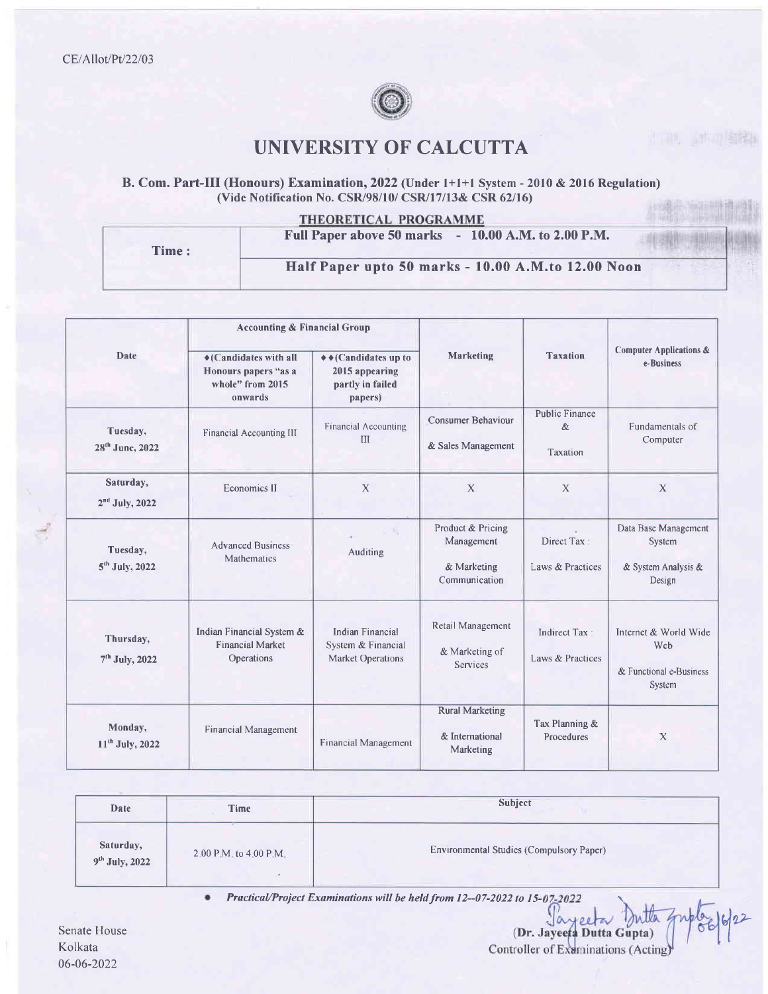

## UNIVERSITY OF CALCUTTA

### B. Com. Part-III (Honours) Examination, 2022 (Under 1+1+1 System - 2010 & 2016 Regulation) (Vide Notification No. CSR/98/10/ CSR/I7l13& CSR 62116)

| Time: | Full Paper above 50 marks - 10.00 A.M. to 2.00 P.M. |
|-------|-----------------------------------------------------|
|       | Half Paper upto 50 marks - 10.00 A.M.to 12.00 Noon  |

|                                         | <b>Accounting &amp; Financial Group</b><br>$\bullet$ (Candidates with all<br>$\triangleq$ + (Candidates up to<br>Honours papers "as a<br>2015 appearing<br>whole" from 2015<br>partly in failed<br>onwards<br>papers) |                                                                           |                                                                 |                                           | Computer Applications &<br>e-Business                             |
|-----------------------------------------|-----------------------------------------------------------------------------------------------------------------------------------------------------------------------------------------------------------------------|---------------------------------------------------------------------------|-----------------------------------------------------------------|-------------------------------------------|-------------------------------------------------------------------|
| Date                                    |                                                                                                                                                                                                                       |                                                                           | Marketing                                                       | <b>Taxation</b>                           |                                                                   |
| Tuesday,<br>28 <sup>th</sup> June, 2022 | Financial Accounting III                                                                                                                                                                                              | Financial Accounting<br>III                                               | <b>Consumer Behaviour</b><br>& Sales Management                 | <b>Public Finance</b><br>$\&$<br>Taxation | Fundamentals of<br>Computer                                       |
| Saturday,<br>$2nd$ July, 2022           | <b>Economics II</b>                                                                                                                                                                                                   | $\mathbf{X}$                                                              | $\mathbf{X}$                                                    | $\mathbf{X}$                              | $\mathbf{X}$                                                      |
| Tuesday,<br>$5th$ July, 2022            | <b>Advanced Business</b><br>Mathematics                                                                                                                                                                               | $\mathcal{D}_{\mathcal{A}}$<br>Auditing                                   | Product & Pricing<br>Management<br>& Marketing<br>Communication | Direct Tax:<br>Laws & Practices           | Data Base Management<br>System<br>& System Analysis &<br>Design   |
| Thursday,<br>7 <sup>th</sup> July, 2022 | Indian Financial System &<br><b>Financial Market</b><br>Operations                                                                                                                                                    | <b>Indian Financial</b><br>System & Financial<br><b>Market Operations</b> | Retail Management<br>& Marketing of<br>Services                 | Indirect Tax:<br>Laws & Practices         | Internet & World Wide<br>Web<br>& Functional e-Business<br>System |
| Monday,<br>11 <sup>th</sup> July, 2022  | <b>Financial Management</b>                                                                                                                                                                                           | <b>Financial Management</b>                                               | <b>Rural Marketing</b><br>& International<br>Marketing          | Tax Planning &<br>Procedures              | $\mathbf x$                                                       |

| Date                                    | <b>Time</b>            | <b>Subject</b>                           |
|-----------------------------------------|------------------------|------------------------------------------|
| Saturday,<br>9 <sup>th</sup> July, 2022 | 2.00 P.M. to 4.00 P.M. | Environmental Studies (Compulsory Paper) |

Senate House Kolkata 06-06-2022

Practical/Project Examinations will be held from 12-07-2022 to 15-07-2022<br>
(Dr. Jayeeta Dutta Gupta)<br>
Controller of Examinations (Acting)

12

上海,动动图器